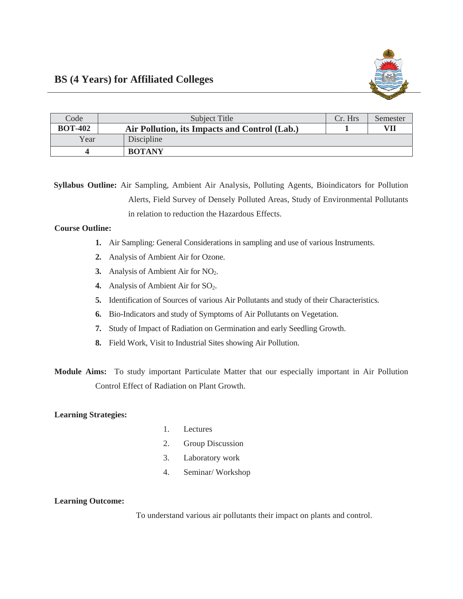| Code           | Subject Title                                 | Cr. Hrs | Semester |
|----------------|-----------------------------------------------|---------|----------|
| <b>BOT-402</b> | Air Pollution, its Impacts and Control (Lab.) |         | VII      |
| Year           | Discipline                                    |         |          |
|                | <b>BOTANY</b>                                 |         |          |

Syllabus Outline: Air Sampling, Ambient Air Analysis, Polluting Agents, Bioindicators for Pollution Alerts, Field Survey of Densely Polluted Areas, Study of Environmental Pollutants in relation to reduction the Hazardous Effects.

## **Course Outline:**

- 1. Air Sampling: General Considerations in sampling and use of various Instruments.
- 2. Analysis of Ambient Air for Ozone.
- 3. Analysis of Ambient Air for NO<sub>2</sub>.
- 4. Analysis of Ambient Air for  $SO_2$ .
- 5. Identification of Sources of various Air Pollutants and study of their Characteristics.
- 6. Bio-Indicators and study of Symptoms of Air Pollutants on Vegetation.
- 7. Study of Impact of Radiation on Germination and early Seedling Growth.
- 8. Field Work, Visit to Industrial Sites showing Air Pollution.

Module Aims: To study important Particulate Matter that our especially important in Air Pollution Control Effect of Radiation on Plant Growth.

## **Learning Strategies:**

- $1.$ Lectures
- 2. Group Discussion
- $3.$ Laboratory work
- $4.$ Seminar/Workshop

## **Learning Outcome:**

To understand various air pollutants their impact on plants and control.